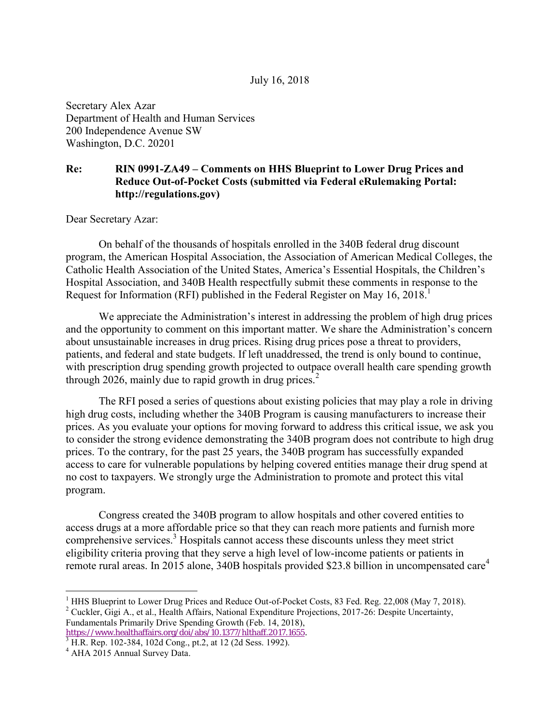## July 16, 2018

Secretary Alex Azar Department of Health and Human Services 200 Independence Avenue SW Washington, D.C. 20201

## **Re: RIN 0991-ZA49 – Comments on HHS Blueprint to Lower Drug Prices and Reduce Out-of-Pocket Costs (submitted via Federal eRulemaking Portal: http://regulations.gov)**

Dear Secretary Azar:

On behalf of the thousands of hospitals enrolled in the 340B federal drug discount program, the American Hospital Association, the Association of American Medical Colleges, the Catholic Health Association of the United States, America's Essential Hospitals, the Children's Hospital Association, and 340B Health respectfully submit these comments in response to the Request for Information (RFI) published in the Federal Register on May  $16$ ,  $2018$ .

We appreciate the Administration's interest in addressing the problem of high drug prices and the opportunity to comment on this important matter. We share the Administration's concern about unsustainable increases in drug prices. Rising drug prices pose a threat to providers, patients, and federal and state budgets. If left unaddressed, the trend is only bound to continue, with prescription drug spending growth projected to outpace overall health care spending growth through 2026, mainly due to rapid growth in drug prices. $<sup>2</sup>$ </sup>

The RFI posed a series of questions about existing policies that may play a role in driving high drug costs, including whether the 340B Program is causing manufacturers to increase their prices. As you evaluate your options for moving forward to address this critical issue, we ask you to consider the strong evidence demonstrating the 340B program does not contribute to high drug prices. To the contrary, for the past 25 years, the 340B program has successfully expanded access to care for vulnerable populations by helping covered entities manage their drug spend at no cost to taxpayers. We strongly urge the Administration to promote and protect this vital program.

Congress created the 340B program to allow hospitals and other covered entities to access drugs at a more affordable price so that they can reach more patients and furnish more comprehensive services.<sup>3</sup> Hospitals cannot access these discounts unless they meet strict eligibility criteria proving that they serve a high level of low-income patients or patients in remote rural areas. In 2015 alone, 340B hospitals provided \$23.8 billion in uncompensated care<sup>4</sup>

[https://www.healthaffairs.org/doi/abs/10.1377/hlthaff.2017.1655.](https://www.healthaffairs.org/doi/abs/10.1377/hlthaff.2017.1655) 3 H.R. Rep. 102-384, 102d Cong., pt.2, at 12 (2d Sess. 1992).

 $\overline{a}$ 

<sup>&</sup>lt;sup>1</sup> HHS Blueprint to Lower Drug Prices and Reduce Out-of-Pocket Costs, 83 Fed. Reg. 22,008 (May 7, 2018). <sup>2</sup> Cuckler, Gigi A., et al., Health Affairs, National Expenditure Projections, 2017-26: Despite Uncertainty, Fundamentals Primarily Drive Spending Growth (Feb. 14, 2018),

<sup>&</sup>lt;sup>4</sup> AHA 2015 Annual Survey Data.